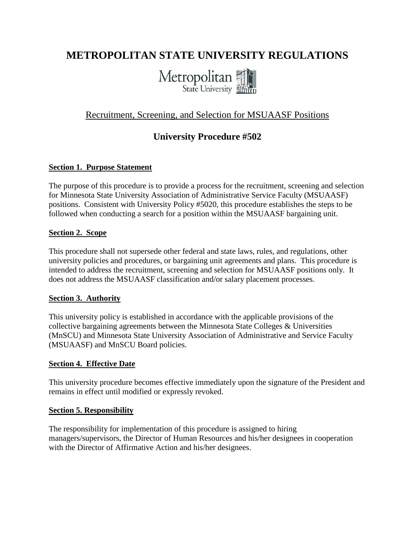# **METROPOLITAN STATE UNIVERSITY REGULATIONS**



# Recruitment, Screening, and Selection for MSUAASF Positions

# **University Procedure #502**

### **Section 1. Purpose Statement**

The purpose of this procedure is to provide a process for the recruitment, screening and selection for Minnesota State University Association of Administrative Service Faculty (MSUAASF) positions. Consistent with University Policy #5020, this procedure establishes the steps to be followed when conducting a search for a position within the MSUAASF bargaining unit.

#### **Section 2. Scope**

This procedure shall not supersede other federal and state laws, rules, and regulations, other university policies and procedures, or bargaining unit agreements and plans. This procedure is intended to address the recruitment, screening and selection for MSUAASF positions only. It does not address the MSUAASF classification and/or salary placement processes.

#### **Section 3. Authority**

This university policy is established in accordance with the applicable provisions of the collective bargaining agreements between the Minnesota State Colleges & Universities (MnSCU) and Minnesota State University Association of Administrative and Service Faculty (MSUAASF) and MnSCU Board policies.

### **Section 4. Effective Date**

This university procedure becomes effective immediately upon the signature of the President and remains in effect until modified or expressly revoked.

#### **Section 5. Responsibility**

The responsibility for implementation of this procedure is assigned to hiring managers/supervisors, the Director of Human Resources and his/her designees in cooperation with the Director of Affirmative Action and his/her designees.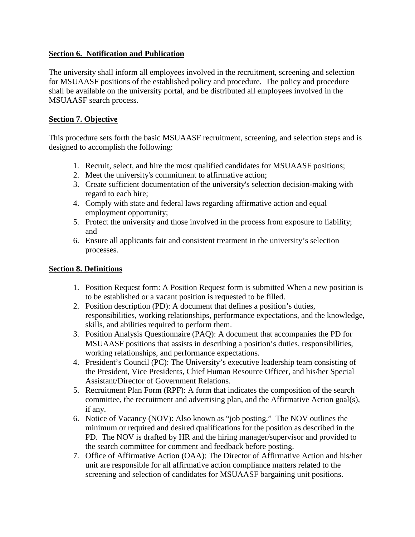### **Section 6. Notification and Publication**

The university shall inform all employees involved in the recruitment, screening and selection for MSUAASF positions of the established policy and procedure. The policy and procedure shall be available on the university portal, and be distributed all employees involved in the MSUAASF search process.

#### **Section 7. Objective**

This procedure sets forth the basic MSUAASF recruitment, screening, and selection steps and is designed to accomplish the following:

- 1. Recruit, select, and hire the most qualified candidates for MSUAASF positions;
- 2. Meet the university's commitment to affirmative action;
- 3. Create sufficient documentation of the university's selection decision-making with regard to each hire;
- 4. Comply with state and federal laws regarding affirmative action and equal employment opportunity;
- 5. Protect the university and those involved in the process from exposure to liability; and
- 6. Ensure all applicants fair and consistent treatment in the university's selection processes.

### **Section 8. Definitions**

- 1. Position Request form: A Position Request form is submitted When a new position is to be established or a vacant position is requested to be filled.
- 2. Position description (PD): A document that defines a position's duties, responsibilities, working relationships, performance expectations, and the knowledge, skills, and abilities required to perform them.
- 3. Position Analysis Questionnaire (PAQ): A document that accompanies the PD for MSUAASF positions that assists in describing a position's duties, responsibilities, working relationships, and performance expectations.
- 4. President's Council (PC): The University's executive leadership team consisting of the President, Vice Presidents, Chief Human Resource Officer, and his/her Special Assistant/Director of Government Relations.
- 5. Recruitment Plan Form (RPF): A form that indicates the composition of the search committee, the recruitment and advertising plan, and the Affirmative Action goal(s), if any.
- 6. Notice of Vacancy (NOV): Also known as "job posting." The NOV outlines the minimum or required and desired qualifications for the position as described in the PD. The NOV is drafted by HR and the hiring manager/supervisor and provided to the search committee for comment and feedback before posting.
- 7. Office of Affirmative Action (OAA): The Director of Affirmative Action and his/her unit are responsible for all affirmative action compliance matters related to the screening and selection of candidates for MSUAASF bargaining unit positions.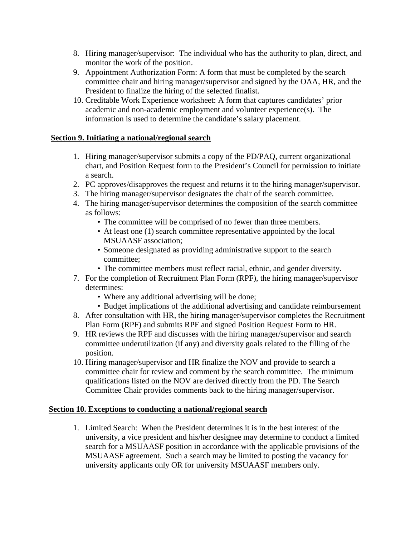- 8. Hiring manager/supervisor: The individual who has the authority to plan, direct, and monitor the work of the position.
- 9. Appointment Authorization Form: A form that must be completed by the search committee chair and hiring manager/supervisor and signed by the OAA, HR, and the President to finalize the hiring of the selected finalist.
- 10. Creditable Work Experience worksheet: A form that captures candidates' prior academic and non-academic employment and volunteer experience(s). The information is used to determine the candidate's salary placement.

## **Section 9. Initiating a national/regional search**

- 1. Hiring manager/supervisor submits a copy of the PD/PAQ, current organizational chart, and Position Request form to the President's Council for permission to initiate a search.
- 2. PC approves/disapproves the request and returns it to the hiring manager/supervisor.
- 3. The hiring manager/supervisor designates the chair of the search committee.
- 4. The hiring manager/supervisor determines the composition of the search committee as follows:
	- The committee will be comprised of no fewer than three members.
	- At least one (1) search committee representative appointed by the local MSUAASF association;
	- Someone designated as providing administrative support to the search committee;
	- The committee members must reflect racial, ethnic, and gender diversity.
- 7. For the completion of Recruitment Plan Form (RPF), the hiring manager/supervisor determines:
	- Where any additional advertising will be done;
	- Budget implications of the additional advertising and candidate reimbursement
- 8. After consultation with HR, the hiring manager/supervisor completes the Recruitment Plan Form (RPF) and submits RPF and signed Position Request Form to HR.
- 9. HR reviews the RPF and discusses with the hiring manager/supervisor and search committee underutilization (if any) and diversity goals related to the filling of the position.
- 10. Hiring manager/supervisor and HR finalize the NOV and provide to search a committee chair for review and comment by the search committee. The minimum qualifications listed on the NOV are derived directly from the PD. The Search Committee Chair provides comments back to the hiring manager/supervisor.

### **Section 10. Exceptions to conducting a national/regional search**

1. Limited Search: When the President determines it is in the best interest of the university, a vice president and his/her designee may determine to conduct a limited search for a MSUAASF position in accordance with the applicable provisions of the MSUAASF agreement. Such a search may be limited to posting the vacancy for university applicants only OR for university MSUAASF members only.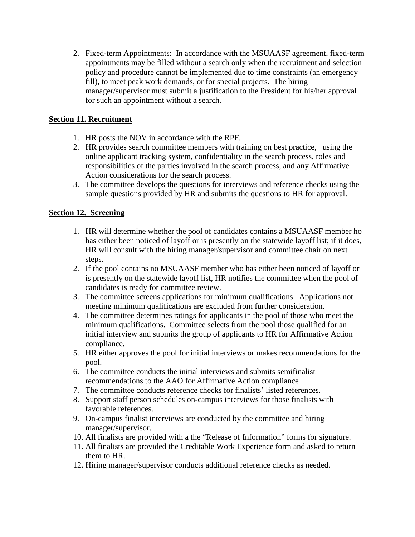2. Fixed-term Appointments: In accordance with the MSUAASF agreement, fixed-term appointments may be filled without a search only when the recruitment and selection policy and procedure cannot be implemented due to time constraints (an emergency fill), to meet peak work demands, or for special projects. The hiring manager/supervisor must submit a justification to the President for his/her approval for such an appointment without a search.

# **Section 11. Recruitment**

- 1. HR posts the NOV in accordance with the RPF.
- 2. HR provides search committee members with training on best practice, using the online applicant tracking system, confidentiality in the search process, roles and responsibilities of the parties involved in the search process, and any Affirmative Action considerations for the search process.
- 3. The committee develops the questions for interviews and reference checks using the sample questions provided by HR and submits the questions to HR for approval.

## **Section 12. Screening**

- 1. HR will determine whether the pool of candidates contains a MSUAASF member ho has either been noticed of layoff or is presently on the statewide layoff list; if it does, HR will consult with the hiring manager/supervisor and committee chair on next steps.
- 2. If the pool contains no MSUAASF member who has either been noticed of layoff or is presently on the statewide layoff list, HR notifies the committee when the pool of candidates is ready for committee review.
- 3. The committee screens applications for minimum qualifications. Applications not meeting minimum qualifications are excluded from further consideration.
- 4. The committee determines ratings for applicants in the pool of those who meet the minimum qualifications. Committee selects from the pool those qualified for an initial interview and submits the group of applicants to HR for Affirmative Action compliance.
- 5. HR either approves the pool for initial interviews or makes recommendations for the pool.
- 6. The committee conducts the initial interviews and submits semifinalist recommendations to the AAO for Affirmative Action compliance
- 7. The committee conducts reference checks for finalists' listed references.
- 8. Support staff person schedules on-campus interviews for those finalists with favorable references.
- 9. On-campus finalist interviews are conducted by the committee and hiring manager/supervisor.
- 10. All finalists are provided with a the "Release of Information" forms for signature.
- 11. All finalists are provided the Creditable Work Experience form and asked to return them to HR.
- 12. Hiring manager/supervisor conducts additional reference checks as needed.